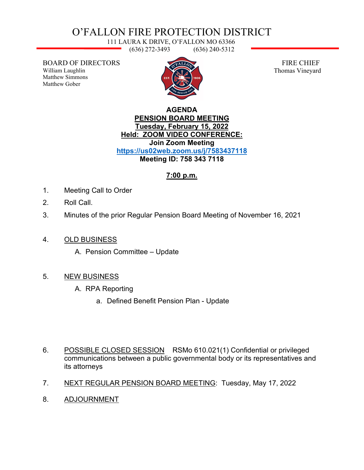# O'FALLON FIRE PROTECTION DISTRICT

111 LAURA K DRIVE, O'FALLON MO 63366 (636) 272-3493 (636) 240-5312

BOARD OF DIRECTORS William Laughlin Matthew Simmons Matthew Gober



 FIRE CHIEF Thomas Vineyard

#### **AGENDA PENSION BOARD MEETING Tuesday, February 15, 2022 Held: ZOOM VIDEO CONFERENCE: Join Zoom Meeting <https://us02web.zoom.us/j/7583437118> Meeting ID: 758 343 7118**

## **7:00 p.m.**

- 1. Meeting Call to Order
- 2. Roll Call.
- 3. Minutes of the prior Regular Pension Board Meeting of November 16, 2021
- 4. OLD BUSINESS
	- A. Pension Committee Update

## 5. NEW BUSINESS

- A. RPA Reporting
	- a. Defined Benefit Pension Plan Update
- 6. POSSIBLE CLOSED SESSION RSMo 610.021(1) Confidential or privileged communications between a public governmental body or its representatives and its attorneys
- 7. NEXT REGULAR PENSION BOARD MEETING: Tuesday, May 17, 2022
- 8. ADJOURNMENT